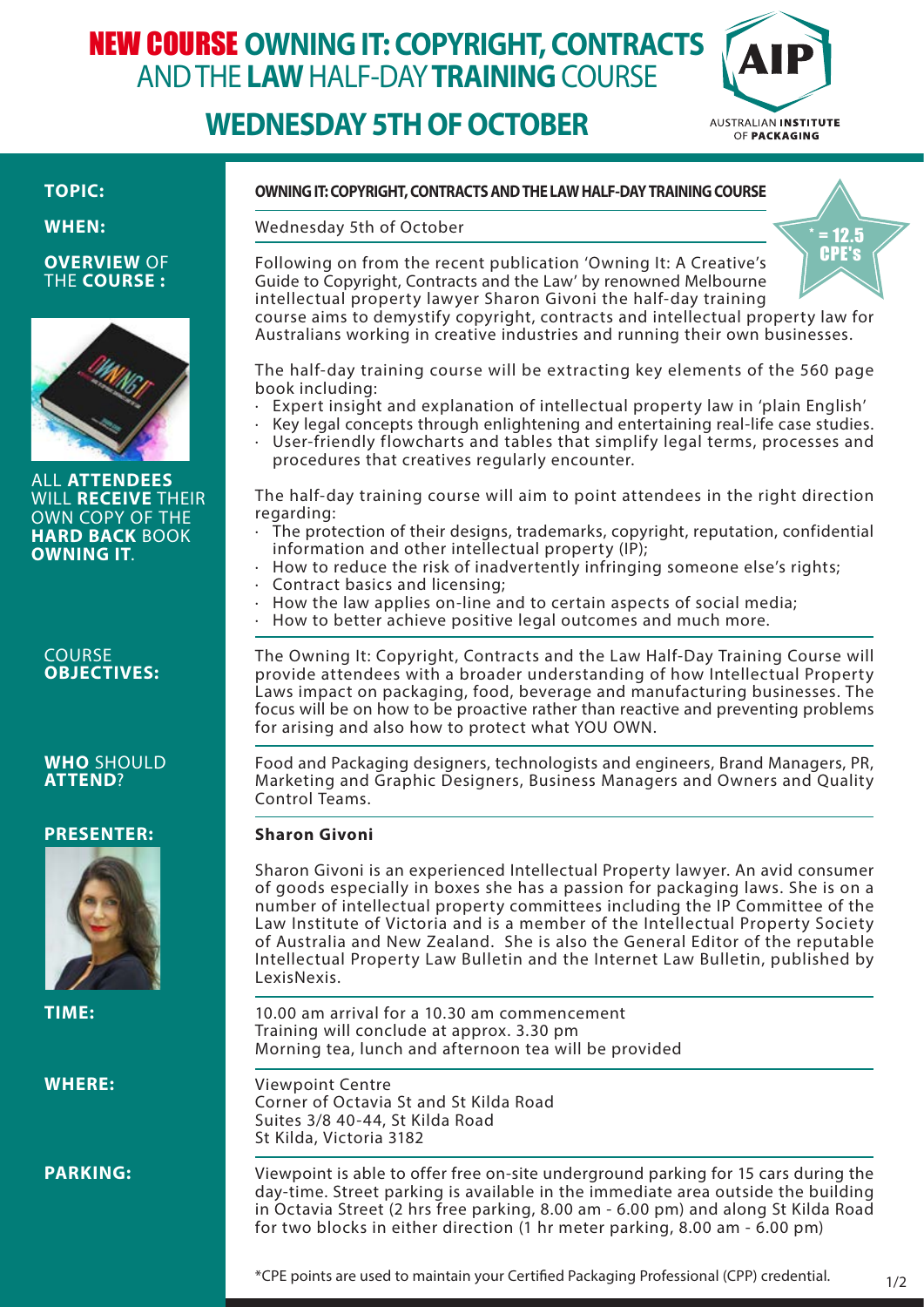# NEW COURSE **OWNING IT: COPYRIGHT, CONTRACTS**  AND THE **LAW** HALF-DAY **TRAINING** COURSE

## **WEDNESDAY 5TH OF OCTOBER**



 $= 12.5$ 

### **TOPIC:**

**WHEN:**

#### **OVERVIEW** OF THE **COURSE :**



ALL **ATTENDEES** WILL **RECEIVE** THEIR OWN COPY OF THE **HARD BACK** BOOK **OWNING IT**.

#### **COURSE OBJECTIVES:**

### **WHO** SHOULD **ATTEND**?

### **PRESENTER:**



**TIME:**

**WHERE:** 

**PARKING:**

### **OWNING IT: COPYRIGHT, CONTRACTS AND THE LAW HALF-DAY TRAINING COURSE**

Wednesday 5th of October

Following on from the recent publication 'Owning It: A Creative's Guide to Copyright, Contracts and the Law' by renowned Melbourne intellectual property lawyer Sharon Givoni the half-day training course aims to demystify copyright, contracts and intellectual property law for Australians working in creative industries and running their own businesses. CPE's

The half-day training course will be extracting key elements of the 560 page book including:

- Expert insight and explanation of intellectual property law in 'plain English'
- · Key legal concepts through enlightening and entertaining real-life case studies.
- User-friendly flowcharts and tables that simplify legal terms, processes and procedures that creatives regularly encounter.

The half-day training course will aim to point attendees in the right direction regarding:

- · The protection of their designs, trademarks, copyright, reputation, confidential information and other intellectual property (IP);
- How to reduce the risk of inadvertently infringing someone else's rights;
- · Contract basics and licensing;
- How the law applies on-line and to certain aspects of social media;
- How to better achieve positive legal outcomes and much more.

The Owning It: Copyright, Contracts and the Law Half-Day Training Course will provide attendees with a broader understanding of how Intellectual Property Laws impact on packaging, food, beverage and manufacturing businesses. The focus will be on how to be proactive rather than reactive and preventing problems for arising and also how to protect what YOU OWN.

Food and Packaging designers, technologists and engineers, Brand Managers, PR, Marketing and Graphic Designers, Business Managers and Owners and Quality Control Teams

### **Sharon Givoni**

Sharon Givoni is an experienced Intellectual Property lawyer. An avid consumer of goods especially in boxes she has a passion for packaging laws. She is on a number of intellectual property committees including the IP Committee of the Law Institute of Victoria and is a member of the Intellectual Property Society of Australia and New Zealand. She is also the General Editor of the reputable Intellectual Property Law Bulletin and the Internet Law Bulletin, published by LexisNexis.

10.00 am arrival for a 10.30 am commencement Training will conclude at approx. 3.30 pm Morning tea, lunch and afternoon tea will be provided

Viewpoint Centre Corner of Octavia St and St Kilda Road Suites 3/8 40-44, St Kilda Road St Kilda, Victoria 3182

Viewpoint is able to offer free on-site underground parking for 15 cars during the day-time. Street parking is available in the immediate area outside the building in Octavia Street (2 hrs free parking, 8.00 am - 6.00 pm) and along St Kilda Road for two blocks in either direction (1 hr meter parking, 8.00 am - 6.00 pm)